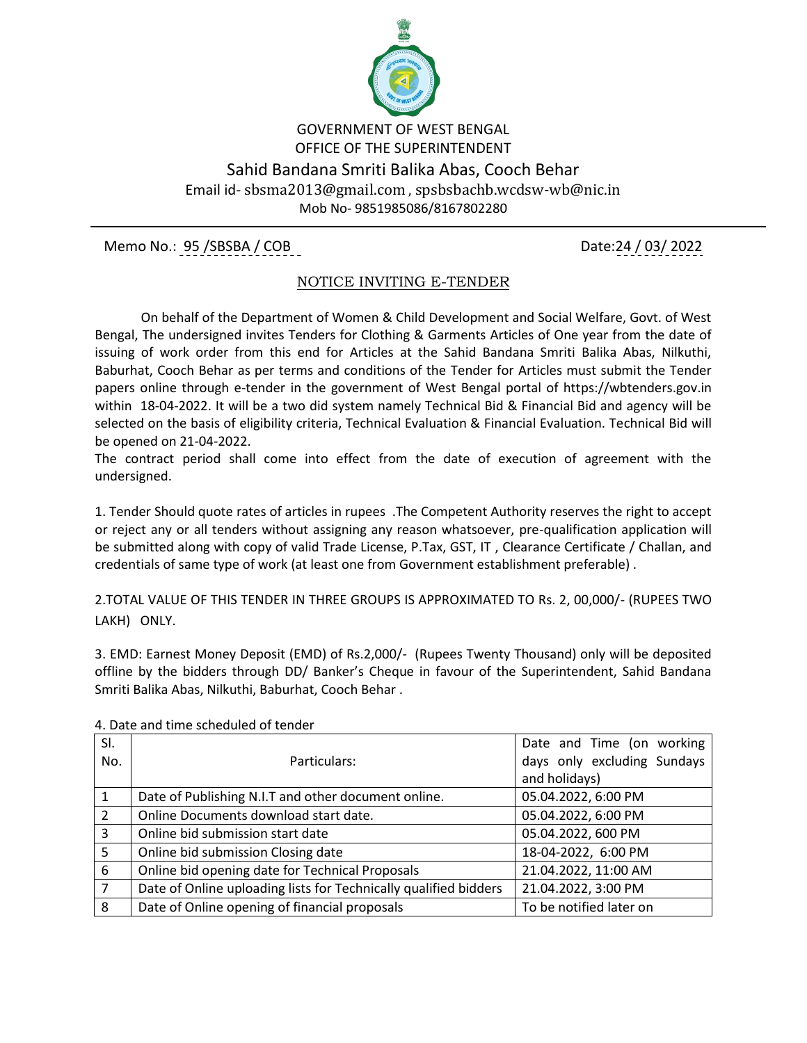

## GOVERNMENT OF WEST BENGAL OFFICE OF THE SUPERINTENDENT Sahid Bandana Smriti Balika Abas, Cooch Behar Email id- sbsma2013@gmail.com , spsbsbachb.wcdsw-wb@nic.in Mob No- 9851985086/8167802280

Memo No.: 95 /SBSBA / COB Date:24 / 03 / 2022

## NOTICE INVITING E-TENDER

 On behalf of the Department of Women & Child Development and Social Welfare, Govt. of West Bengal, The undersigned invites Tenders for Clothing & Garments Articles of One year from the date of issuing of work order from this end for Articles at the Sahid Bandana Smriti Balika Abas, Nilkuthi, Baburhat, Cooch Behar as per terms and conditions of the Tender for Articles must submit the Tender papers online through e-tender in the government of West Bengal portal of https://wbtenders.gov.in within 18-04-2022. It will be a two did system namely Technical Bid & Financial Bid and agency will be selected on the basis of eligibility criteria, Technical Evaluation & Financial Evaluation. Technical Bid will be opened on 21-04-2022.

The contract period shall come into effect from the date of execution of agreement with the undersigned.

1. Tender Should quote rates of articles in rupees .The Competent Authority reserves the right to accept or reject any or all tenders without assigning any reason whatsoever, pre-qualification application will be submitted along with copy of valid Trade License, P.Tax, GST, IT , Clearance Certificate / Challan, and credentials of same type of work (at least one from Government establishment preferable) .

2.TOTAL VALUE OF THIS TENDER IN THREE GROUPS IS APPROXIMATED TO Rs. 2, 00,000/- (RUPEES TWO LAKH) ONLY.

3. EMD: Earnest Money Deposit (EMD) of Rs.2,000/- (Rupees Twenty Thousand) only will be deposited offline by the bidders through DD/ Banker's Cheque in favour of the Superintendent, Sahid Bandana Smriti Balika Abas, Nilkuthi, Baburhat, Cooch Behar .

| SI.            |                                                                  | Date and Time (on working   |  |
|----------------|------------------------------------------------------------------|-----------------------------|--|
| No.            | Particulars:                                                     | days only excluding Sundays |  |
|                |                                                                  | and holidays)               |  |
|                | Date of Publishing N.I.T and other document online.              | 05.04.2022, 6:00 PM         |  |
| $\mathcal{P}$  | Online Documents download start date.                            | 05.04.2022, 6:00 PM         |  |
| 3              | Online bid submission start date                                 | 05.04.2022, 600 PM          |  |
| 5              | Online bid submission Closing date                               | 18-04-2022, 6:00 PM         |  |
| 6              | Online bid opening date for Technical Proposals                  | 21.04.2022, 11:00 AM        |  |
| $\overline{7}$ | Date of Online uploading lists for Technically qualified bidders | 21.04.2022, 3:00 PM         |  |
| 8              | Date of Online opening of financial proposals                    | To be notified later on     |  |

4. Date and time scheduled of tender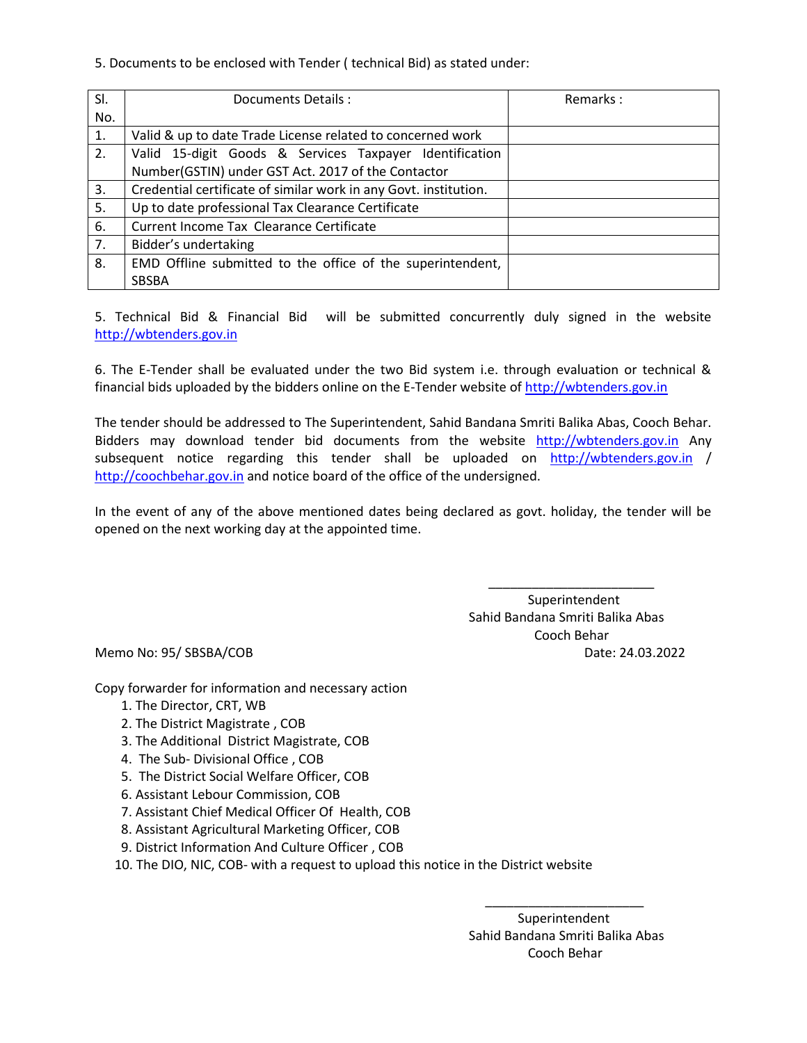5. Documents to be enclosed with Tender ( technical Bid) as stated under:

| SI. | Documents Details :                                              | Remarks: |
|-----|------------------------------------------------------------------|----------|
| No. |                                                                  |          |
| 1.  | Valid & up to date Trade License related to concerned work       |          |
| 2.  | Valid 15-digit Goods & Services Taxpayer Identification          |          |
|     | Number(GSTIN) under GST Act. 2017 of the Contactor               |          |
| 3.  | Credential certificate of similar work in any Govt. institution. |          |
| 5.  | Up to date professional Tax Clearance Certificate                |          |
| 6.  | Current Income Tax Clearance Certificate                         |          |
| 7.  | Bidder's undertaking                                             |          |
| 8.  | EMD Offline submitted to the office of the superintendent,       |          |
|     | <b>SBSBA</b>                                                     |          |

5. Technical Bid & Financial Bid will be submitted concurrently duly signed in the website [http://wbtenders.gov.in](http://wbtenders.gov.in/)

6. The E-Tender shall be evaluated under the two Bid system i.e. through evaluation or technical & financial bids uploaded by the bidders online on the E-Tender website o[f http://wbtenders.gov.in](http://wbtenders.gov.in/)

The tender should be addressed to The Superintendent, Sahid Bandana Smriti Balika Abas, Cooch Behar. Bidders may download tender bid documents from the website [http://wbtenders.gov.in](http://wbtenders.gov.in/) Any subsequent notice regarding this tender shall be uploaded on [http://wbtenders.gov.in](http://wbtenders.gov.in/) / [http://coochbehar.gov.in](http://coochbehar.gov.in/) and notice board of the office of the undersigned.

In the event of any of the above mentioned dates being declared as govt. holiday, the tender will be opened on the next working day at the appointed time.

 $\overline{\phantom{a}}$  , and the contract of the contract of the contract of the contract of the contract of the contract of the contract of the contract of the contract of the contract of the contract of the contract of the contrac Superintendent Sahid Bandana Smriti Balika Abas Cooch Behar Memo No: 95/ SBSBA/COB Date: 24.03.2022

Copy forwarder for information and necessary action

- 1. The Director, CRT, WB
- 2. The District Magistrate , COB
- 3. The Additional District Magistrate, COB
- 4. The Sub- Divisional Office , COB
- 5. The District Social Welfare Officer, COB
- 6. Assistant Lebour Commission, COB
- 7. Assistant Chief Medical Officer Of Health, COB
- 8. Assistant Agricultural Marketing Officer, COB
- 9. District Information And Culture Officer , COB
- 10. The DIO, NIC, COB- with a request to upload this notice in the District website

 $\overline{\phantom{a}}$  , and the contract of the contract of the contract of the contract of the contract of the contract of the contract of the contract of the contract of the contract of the contract of the contract of the contrac

 Superintendent Sahid Bandana Smriti Balika Abas Cooch Behar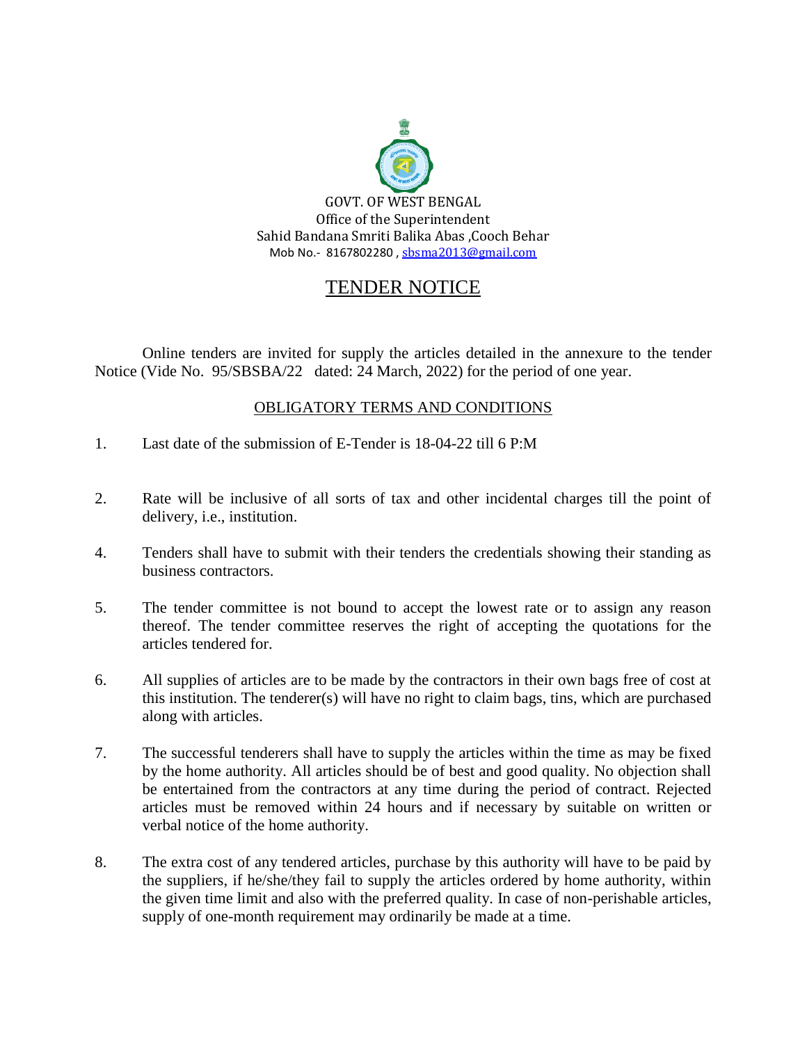

## TENDER NOTICE

Online tenders are invited for supply the articles detailed in the annexure to the tender Notice (Vide No. 95/SBSBA/22 dated: 24 March, 2022) for the period of one year.

## OBLIGATORY TERMS AND CONDITIONS

- 1. Last date of the submission of E-Tender is 18-04-22 till 6 P:M
- 2. Rate will be inclusive of all sorts of tax and other incidental charges till the point of delivery, i.e., institution.
- 4. Tenders shall have to submit with their tenders the credentials showing their standing as business contractors.
- 5. The tender committee is not bound to accept the lowest rate or to assign any reason thereof. The tender committee reserves the right of accepting the quotations for the articles tendered for.
- 6. All supplies of articles are to be made by the contractors in their own bags free of cost at this institution. The tenderer(s) will have no right to claim bags, tins, which are purchased along with articles.
- 7. The successful tenderers shall have to supply the articles within the time as may be fixed by the home authority. All articles should be of best and good quality. No objection shall be entertained from the contractors at any time during the period of contract. Rejected articles must be removed within 24 hours and if necessary by suitable on written or verbal notice of the home authority.
- 8. The extra cost of any tendered articles, purchase by this authority will have to be paid by the suppliers, if he/she/they fail to supply the articles ordered by home authority, within the given time limit and also with the preferred quality. In case of non-perishable articles, supply of one-month requirement may ordinarily be made at a time.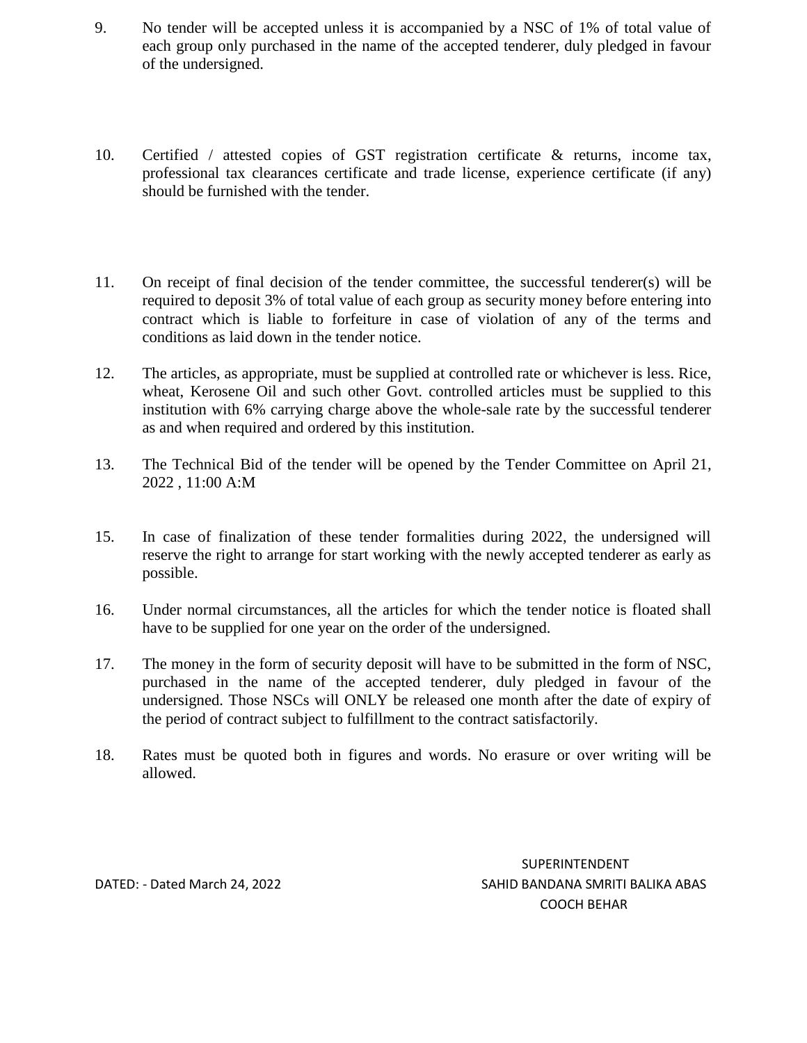- 9. No tender will be accepted unless it is accompanied by a NSC of 1% of total value of each group only purchased in the name of the accepted tenderer, duly pledged in favour of the undersigned.
- 10. Certified / attested copies of GST registration certificate & returns, income tax, professional tax clearances certificate and trade license, experience certificate (if any) should be furnished with the tender.
- 11. On receipt of final decision of the tender committee, the successful tenderer(s) will be required to deposit 3% of total value of each group as security money before entering into contract which is liable to forfeiture in case of violation of any of the terms and conditions as laid down in the tender notice.
- 12. The articles, as appropriate, must be supplied at controlled rate or whichever is less. Rice, wheat, Kerosene Oil and such other Govt. controlled articles must be supplied to this institution with 6% carrying charge above the whole-sale rate by the successful tenderer as and when required and ordered by this institution.
- 13. The Technical Bid of the tender will be opened by the Tender Committee on April 21, 2022 , 11:00 A:M
- 15. In case of finalization of these tender formalities during 2022, the undersigned will reserve the right to arrange for start working with the newly accepted tenderer as early as possible.
- 16. Under normal circumstances, all the articles for which the tender notice is floated shall have to be supplied for one year on the order of the undersigned.
- 17. The money in the form of security deposit will have to be submitted in the form of NSC, purchased in the name of the accepted tenderer, duly pledged in favour of the undersigned. Those NSCs will ONLY be released one month after the date of expiry of the period of contract subject to fulfillment to the contract satisfactorily.
- 18. Rates must be quoted both in figures and words. No erasure or over writing will be allowed.

SUPERINTENDENT DATED: - Dated March 24, 2022 SAHID BANDANA SMRITI BALIKA ABAS COOCH BEHAR